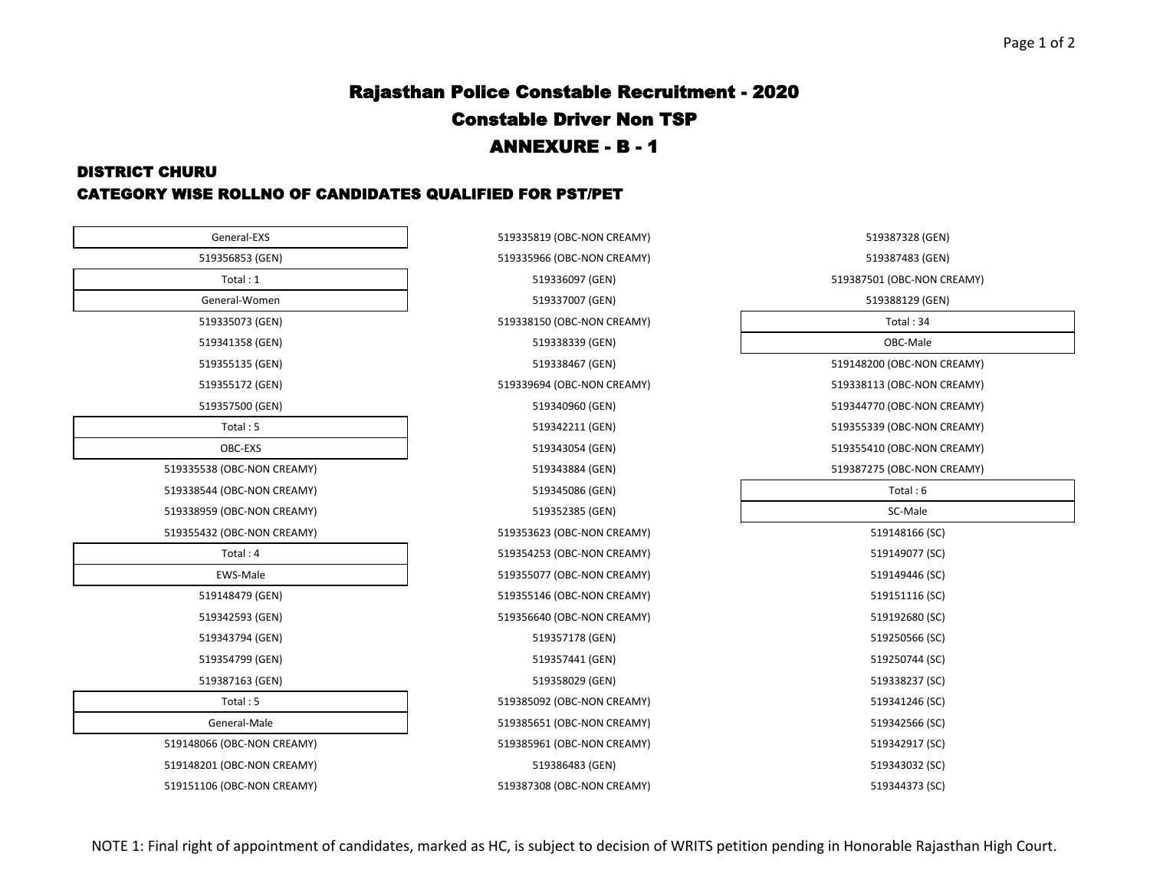# Rajasthan Police Constable Recruitment - 2020 Constable Driver Non TSP ANNEXURE - B - 1

#### DISTRICT CHURU CATEGORY WISE ROLLNO OF CANDIDATES QUALIFIED FOR PST/PET

| General-EXS                | 519335819 (OBC-NON CREAMY) | 519387328 (GEN)            |
|----------------------------|----------------------------|----------------------------|
| 519356853 (GEN)            | 519335966 (OBC-NON CREAMY) | 519387483 (GEN)            |
| Total: 1                   | 519336097 (GEN)            | 519387501 (OBC-NON CREAMY) |
| General-Women              | 519337007 (GEN)            | 519388129 (GEN)            |
| 519335073 (GEN)            | 519338150 (OBC-NON CREAMY) | Total: 34                  |
| 519341358 (GEN)            | 519338339 (GEN)            | OBC-Male                   |
| 519355135 (GEN)            | 519338467 (GEN)            | 519148200 (OBC-NON CREAMY) |
| 519355172 (GEN)            | 519339694 (OBC-NON CREAMY) | 519338113 (OBC-NON CREAMY) |
| 519357500 (GEN)            | 519340960 (GEN)            | 519344770 (OBC-NON CREAMY) |
| Total: 5                   | 519342211 (GEN)            | 519355339 (OBC-NON CREAMY) |
| OBC-EXS                    | 519343054 (GEN)            | 519355410 (OBC-NON CREAMY) |
| 519335538 (OBC-NON CREAMY) | 519343884 (GEN)            | 519387275 (OBC-NON CREAMY) |
| 519338544 (OBC-NON CREAMY) | 519345086 (GEN)            | Total: 6                   |
| 519338959 (OBC-NON CREAMY) | 519352385 (GEN)            | SC-Male                    |
| 519355432 (OBC-NON CREAMY) | 519353623 (OBC-NON CREAMY) | 519148166 (SC)             |
| Total: 4                   | 519354253 (OBC-NON CREAMY) | 519149077 (SC)             |
| EWS-Male                   | 519355077 (OBC-NON CREAMY) | 519149446 (SC)             |
| 519148479 (GEN)            | 519355146 (OBC-NON CREAMY) | 519151116 (SC)             |
| 519342593 (GEN)            | 519356640 (OBC-NON CREAMY) | 519192680 (SC)             |
| 519343794 (GEN)            | 519357178 (GEN)            | 519250566 (SC)             |
| 519354799 (GEN)            | 519357441 (GEN)            | 519250744 (SC)             |
| 519387163 (GEN)            | 519358029 (GEN)            | 519338237 (SC)             |
| Total: 5                   | 519385092 (OBC-NON CREAMY) | 519341246 (SC)             |
| General-Male               | 519385651 (OBC-NON CREAMY) | 519342566 (SC)             |
| 519148066 (OBC-NON CREAMY) | 519385961 (OBC-NON CREAMY) | 519342917 (SC)             |
| 519148201 (OBC-NON CREAMY) | 519386483 (GEN)            | 519343032 (SC)             |
| 519151106 (OBC-NON CREAMY) | 519387308 (OBC-NON CREAMY) | 519344373 (SC)             |

| eneral-EXS                  | 519335819 (OBC-NON CREAMY)        | 519387328 (GEN)            |
|-----------------------------|-----------------------------------|----------------------------|
| 56853 (GEN)                 | 519335966 (OBC-NON CREAMY)        | 519387483 (GEN)            |
| Total:1                     | 519336097 (GEN)                   | 519387501 (OBC-NON CREAMY) |
| eral-Women                  | 519337007 (GEN)                   | 519388129 (GEN)            |
| 35073 (GEN)                 | 519338150 (OBC-NON CREAMY)        | Total: 34                  |
| 41358 (GEN)                 | 519338339 (GEN)                   | OBC-Male                   |
| 55135 (GEN)                 | 519338467 (GEN)                   | 519148200 (OBC-NON CREAMY) |
| 55172 (GEN)                 | 519339694 (OBC-NON CREAMY)        | 519338113 (OBC-NON CREAMY) |
| 57500 (GEN)                 | 519340960 (GEN)                   | 519344770 (OBC-NON CREAMY) |
| Total: 5                    | 519342211 (GEN)                   | 519355339 (OBC-NON CREAMY) |
| OBC-EXS                     | 519343054 (GEN)                   | 519355410 (OBC-NON CREAMY) |
| (OBC-NON CREAMY)            | 519343884 (GEN)                   | 519387275 (OBC-NON CREAMY) |
| (OBC-NON CREAMY)            | 519345086 (GEN)                   | Total: 6                   |
| (OBC-NON CREAMY)            | 519352385 (GEN)                   | SC-Male                    |
| (OBC-NON CREAMY)            | 519353623 (OBC-NON CREAMY)        | 519148166 (SC)             |
| Total: 4                    | 519354253 (OBC-NON CREAMY)        | 519149077 (SC)             |
| WS-Male                     | 519355077 (OBC-NON CREAMY)        | 519149446 (SC)             |
| 48479 (GEN)                 | 519355146 (OBC-NON CREAMY)        | 519151116 (SC)             |
| 42593 (GEN)                 | 519356640 (OBC-NON CREAMY)        | 519192680 (SC)             |
| 43794 (GEN)                 | 519357178 (GEN)                   | 519250566 (SC)             |
| 54799 (GEN)                 | 519357441 (GEN)                   | 519250744 (SC)             |
| 87163 (GEN)                 | 519358029 (GEN)                   | 519338237 (SC)             |
| Total: 5                    | 519385092 (OBC-NON CREAMY)        | 519341246 (SC)             |
| neral-Male                  | 519385651 (OBC-NON CREAMY)        | 519342566 (SC)             |
| (OBC-NON CREAMY)            | 519385961 (OBC-NON CREAMY)        | 519342917 (SC)             |
| (OBC-NON CREAMY)            | 519386483 (GEN)                   | 519343032 (SC)             |
| (0.000, 0.001, 0.000, 0.01) | <b>E10307300 (ODC NON CDEAMA)</b> | F40244272100               |